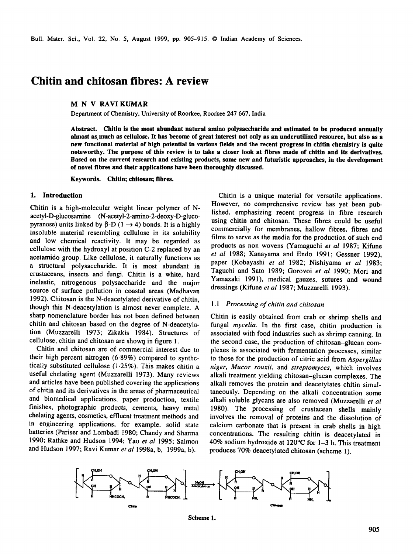# **Chitin and chitosan fibres: A review**

# **M N V RAVIKUMAR**

Department of Chemistry, University of Roorkee, Roorkee 247 667, India

**Abstract. Chitin is the most abundant natural amino polysaccharide and estimated to be produced annually almost as, much as cellulose. It has become of great interest not only as an underutilized resource, but also as a new functional material of high potential in various fields and the recent progress in chitin chemistry is quite noteworthy. The purpose of this review is to take a closer look at fibres made of chitin and its derivatives. Based on the current research and existing products, some new and futuristic approaches, in the development of novel fibres and their applications have been thoroughly discussed.** 

**Keywords. Chitin; chitosan; fibres.** 

#### **1. Introduction**

Chitin is a high-molecular weight linear polymer of Nacetyl-D-glucosamine (N-acetyl-2-amino-2-deoxy-D-glucopyranose) units linked by  $\beta$ -D (1  $\rightarrow$  4) bonds. It is a highly insoluble material resembling cellulose in its solubility and low chemical reactivity. It may be regarded as cellulose with the hydroxyl at position C-2 replaced by an acetamido group. Like cellulose, it naturally functions as a structural polysaccharide. It is most abundant in crustaceans, insects and fungi. Chitin is a white, hard inelastic, nitrogenous polysaccharide and the major source of surface pollution in coastal areas (Madhavan 1992). Chitosan is the N-deacetylated derivative of chitin, though this N-deacetylation is almost never complete. A sharp nomenclature border has not been defined between chitin and chitosan based on the degree of N-deacetylation (Muzzarelli 1973; Zikakis 1984). Structures of cellulose, chitin and chitosan are shown in figure 1.

Chitin and chitosan are of commercial interest due to their high percent nitrogen (6-89%) compared to synthetically substituted cellulose (1.25%). This makes chitin a useful chelating agent (Muzzarelli 1973). Many reviews and articles have been published covering the applications of chitin and its derivatives in the areas of pharmaceutical and biomedical applications, paper production, textile finishes, photographic products, cements, heavy metal chelating agents, cosmetics, effluent treatment methods and in engineering applications, for example, solid state batteries (Pariser and Lombadi 1980; Chandy and Sharma 1990; Rathke and Hudson 1994; Yao *et al* 1995; Salmon and Hudson 1997; Ravi Kumar *et al* 1998a, b, 1999a, b).

Chitin is a unique material for versatile applications. However, no comprehensive review has yet been published, emphasizing recent progress in fibre research using chitin and chitosan. These fibres could be useful commercially for membranes, hallow fibres, fibres and films to serve as the media for the production of such end products as non wovens (Yamaguchi *et al* 1987; Kifune *et al* 1988; Kanayama and Endo 1991; Gessner 1992), paper (Kobayashi *et al* 1982; Nishiyama *et al* 1983; Taguchi and Sato 1989; Gorovoi *et al* 1990; Mori and Yamazaki 1991), medical gauzes, sutures and wound dressings (Kifune *et al* 1987; Muzzarelli 1993).

#### *1.1 Processing of chitin and chitosan*

Chitin is easily obtained from crab or shrimp shells and fungal *mycelia.* In the first case, chitin production is associated with food industries such as shrimp canning. In the second case, the production of chitosan-glucan complexes is associated with fermentation processes, similar to those for the production of citric acid from *Aspergillus niger, Mucor rouxii,* and *streptomyces,* which involves alkali treatment yielding chitosan-glucan complexes. The alkali removes the protein and deacetylates chitin simultaneously. Depending on the alkali concentration some alkali soluble glycans are also removed (Muzzarelli *et al*  1980). The processing of crustacean shells mainly involves the removal of proteins and the dissolution of calcium carbonate that is present in crab shells in high concentrations. The resulting chitin is deacetylated in 40% sodium hydroxide at 120°C for 1-3 h. This treatment produces 70% deacetylated chitosan (scheme 1).



**Scheme 1.**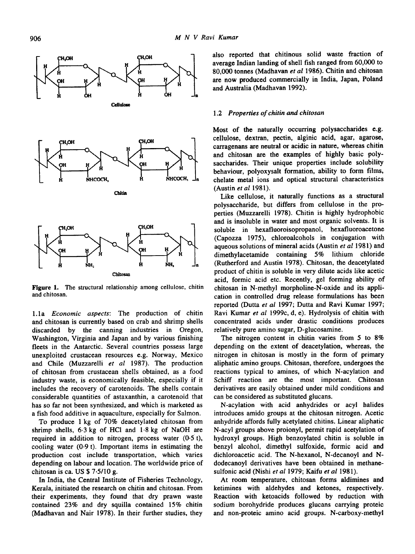

**Figure** 1. The structural relationship among cellulose, chitin and chitosan.

1.1a *Economic aspects:* The production of chitin and chitosan is currently based on crab and shrimp shells discarded by the canning industries in Oregon, Washington, Virginia and Japan and by various finishing fleets in the Antarctic. Several countries possess large unexploited crustacean resources e.g. Norway, Mexico and Chile (Muzzarelli *et al* 1987). The production of chitosan from crustacean shells obtained, as a food industry waste, is economically feasible, especially if it includes the recovery of carotenoids. The shells contain considerable quantities of astaxanthin, a carotenoid that has so far not been synthesized, and which is marketed as a fish food additive in aquaculture, especially for Salmon.

To produce 1 kg of 70% deacetylated chitosan from shrimp shells, 6.3 kg of HCI and 1-8 kg of NaOH are required in addition to nitrogen, process water  $(0.5 t)$ , cooling water (0.9 t). Important items in estimating the production cost include transportation, which varies depending on labour and location. The worldwide price of chitosan is ca. US \$ 7.5/10 g.

In India, the Central Institute of Fisheries Technology, Kerala, initiated the research on chitin and chitosan. From their experiments, they found that dry prawn waste contained 23% and dry squilla contained 15% chitin (Madhavan and Nair 1978). In their further studies, they also reported that chitinous solid waste fraction of average Indian landing of shell fish ranged from 60,000 to 80,000 tonnes (Madhavan *et al* 1986). Chitin and chitosan are now produced commercially in India, Japan, Poland and Australia (Madhavan 1992).

#### *1.2 Properties of chitin and chitosan*

Most of the naturally occurring polysaccharides e.g. cellulose, dextran, pectin, alginic acid, agar, agarose, carragenans are neutral or acidic in nature, whereas chitin and chitosan are the examples of highly basic polysaccharides. Their unique properties include solubility behaviour, polyoxysalt formation, ability to form films, chelate metal ions and optical structural characteristics (Austin *et al* 1981).

Like cellulose, it naturally functions as a structural polysaccharide, but differs from cellulose in the properties (Muzzarelli 1978). Chitin is highly hydrophobic and is insoluble in water and most organic solvents. It is soluble in hexafluoroisopropanol, hexafluoroacetone (Capozza 1975), chioroalcohols in conjugation with aqueous solutions of mineral acids (Austin *et al* 1981) and dimethylacetamide containing 5% lithium chloride (Rutherford and Austin 1978). Chitosan, the deacetylated product of chitin is soluble in very dilute acids like acetic acid, formic acid etc. Recently, gel forming ability of chitosan in N-methyl morpholine-N-oxide and its application in controlled drug release formulations has been reported (Dutta *et al* 1997; Dutta and Ravi Kumar 1997; Ravi Kumar *et al* t999c, d, e). Hydrolysis of chitin with concentrated acids under drastic conditions produces relatively pure amino sugar, D-glucosamine.

The nitrogen content in chitin varies from 5 to 8% depending on the extent of deacetylation, whereas, the nitrogen in chitosan is mostly in the form of primary aliphatic amino groups. Chitosan, therefore, undergoes the reactions typical to amines, of which N-acylation and Schiff reaction are the most important. Chitosan derivatives are easily obtained under mild conditions and can be considered as substituted glucans.

N-acylation with acid anhydrides or acyl halides introduces amido groups at the chitosan nitrogen. Acetic anhydride affords fully acetylated chitins. Linear aliphatic N-acyi groups above proionyl, permit rapid acetylation of hydroxyl groups. High benzoylated chitin is soluble in benzyl alcohol, dimethyl sulfoxide, formic acid and dichloroacetic acid. The N-hexanol, N-decanoyl and Ndodecanoyl derivatives have been obtained in methanesulfonic acid (Nishi *et al* 1979; Kaifu *et al* 1981).

At room temperature, chitosan forms aldimines and ketimines with aldehydes and ketones, respectively. Reaction with ketoacids followed by reduction with sodium borohydride produces glucans carrying proteie and non-proteic amino acid groups. N-carboxy-methyl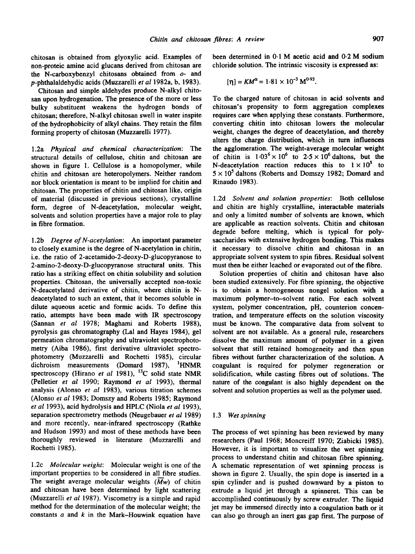chitosan is obtained from glyoxylic acid. Examples of non-proteic amine acid glucans derived from chitosan are the N-carboxybenzyl chitosans obtained from o- and p-phthalaldehydic acids (Muzzarelli *et al* 1982a, b, 1983).

Chitosan and simple aldehydes produce N-alkyl chitosan upon hydrogenation. The presence of the more or less bulky substituent weakens the hydrogen bonds of chitosan; therefore, N-alkyl chitosan swell in water inspite of the hydrophobicity of alkyl chains. They retain the film forming property of chitosan (Muzzarelli 1977).

1.2a *Physical and chemical characterization:* The structural details of cellulose, chitin and chitosan are shown in figure 1. Cellulose is a homopolymer, while chitin and chitosan are heteropolymers. Neither random nor block orientation is meant to be implied for chitin and chitosan. The properties of chitin and chitosan like, origin of material (discussed in previous sections), crystalline form, degree of N-deacetylation, molecular weight, solvents and solution properties have a major role to play in fibre formation.

1.2b *Degree of N-acetylation:* An important parameter to closely examine is the degree of N-acetylation in chitin, i.e. the ratio of 2-acetamido-2-deoxy-D-glucopyranose to 2-amino-2-deoxy-D-glucopyranose structural units. This ratio has a striking effect on chitin solubility and solution properties. Chitosan, the universally accepted non-toxic N-deacetylated derivative of chitin, where chitin is Ndeacetylated to such an extent, that it becomes soluble in dilute aqueous acetic and formic acids. To define this ratio, attempts have been made with IR spectroscopy (Sannan *et al* 1978; Maghami and Roberts 1988), pyrolysis gas chromatography (Lal and Hayes 1984), gel permeation chromatography and ultraviolet spectrophotometry (Aiba 1986), first derivative ultraviolet spectrophotometry (Muzzarelli and Rochetti 1985), circular dichroism measurements (Domard 1987), <sup>1</sup>HNMR spectroscopy (Hirano et al 1981), <sup>13</sup>C solid state NMR (Pelletier *et al* 1990; Raymond *et al* 1993), thermal analysis (Alonso *et al* 1983), various titration schemes (Alonso *et al* 1983; Domszy and Roberts 1985; Raymond *et al* 1993), acid hydrolysis and HPLC (Niola *et al* 1993), separation spectrometry methods (Neugebauer *et al* 1989) and more recently, near-infrared spectroscopy (Rathke and Hudson 1993) and most of these methods have been thoroughly reviewed in literature (Muzzarelli and Rochetti 1985).

1.2c *Molecular weight:* Molecular weight is one of the important properties to be considered in all fibre studies. The weight average molecular weights *(Mw)* of chitin and chitosan have been determined by light scattering (Muzzarelli *et al* 1987). Viscometry is a simple and rapid method for the determination of the molecular weight; the constants  $a$  and  $k$  in the Mark-Houwink equation have

been determined in 0.1 M acetic acid and 0.2 M sodium chloride solution. The intrinsic viscosity is expressed **as:** 

$$
[\eta] = KM^{\alpha} = 1.81 \times 10^{-3} \text{ M}^{0.93}.
$$

To the charged nature of chitosan in acid solvents and chitosan's propensity to form aggregation complexes requires care when applying these constants. Furthermore, converting chitin into chitosan lowers the molecular weight, changes the degree of deacetylation, and thereby alters the charge distribution, which in turn influences the agglomeration. The weight-average molecular weight of chitin is  $1.03^6 \times 10^6$  to  $2.5 \times 10^6$  daltons, but the N-deacetylation reaction reduces this to  $1 \times 10^5$  to  $5 \times 10^5$  daltons (Roberts and Domszy 1982; Domard and Rinaudo 1983).

1.2d *Solvent and solution properties:* Both cellulose and chitin are highly crystalline, interactable materials and only a limited number of solvents are known, which are applicable as reaction solvents. Chitin and chitosan degrade before melting, which is typical for polysaccharides with extensive hydrogen bonding. This makes it necessary to dissolve chitin and chitosan in an appropriate solvent system to spin fibres. Residual solvent must then be either leached or evaporated out of the fibre.

Solution properties of chitin and chitosan have also been studied extensively. For fibre spinning, the objective is to obtain a homogeneous nongel solution with a maximum polymer-to-solvent ratio. For each solvent system, polymer concentration, pH, counterion concentration, and temperature effects on the solution viscosity must be known. The comparative data from solvent to solvent are not available. As a general rule, researchers dissolve the maximum amount of polymer in a given solvent that still retained homogeneity and then spun fibres without further characterization of the solution. A coagulant is required for polymer regeneration or solidification, while casting fibres out of solutions. The nature of the coagulant is also highly dependent on the solvent and solution properties as well as the polymer used.

#### *1.3 Wet spinning*

The process of wet spinning has been reviewed by many researchers (Paul 1968; Moncreiff 1970; Ziabicki 1985). However, it is important to visualize the wet spinning process to understand chitin and chitosan fibre spinning. A schematic representation of wet spinning process is shown in figure 2. Usually, the spin dope is inserted in a spin cylinder and is pushed downward by a piston to extrude a liquid jet through a spinneret. This can be accomplished continuously by screw extruder. The liquid jet may be immersed directly into a coagulation bath or it can also go through an inert gas gap first. The purpose of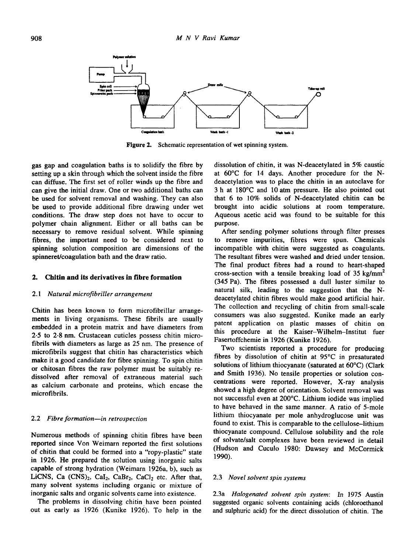

**Figure** 2. Schematic representation of wet spinning system.

gas gap and coagulation baths is to solidify the fibre by setting up a skin through which the solvent inside the fibre can diffuse. The first set of roller winds up the fibre and can give the initial draw. One or two additional baths can be used for solvent removal and washing. They can also be used to provide additional fibre drawing under wet conditions. The draw step does not have to occur to polymer chain alignment. Either or all baths can be necessary to remove residual solvent. While spinning fibres, the important need to be considered next to spinning solution composition are dimensions of the spinneret/coagulation bath and the draw ratio.

## **2. Chitin and its derivatives in fibre formation**

#### *2.1 Natural microfibriller arrangement*

Chitin has been known to form microfibrillar arrangements in living organisms. These fibrils are usually embedded in a protein matrix and have diameters from 2.5 to 2.8 nm. Crustacean cuticles possess chitin microfibrils with diameters as large as 25 nm. The presence of microfibrils suggest that chitin has characteristics which make it a good candidate for fibre spinning. To spin chitin or chitosan fibres the raw polymer must be suitably redissolved after removal of extraneous material such as calcium carbonate and proteins, which encase the microfibrils.

#### 2.2 *Fibre formation--in retrospection*

Numerous methods of spinning chitin fibres have been reported since Von Weimarn reported the first solutions of chitin that could be formed into a "ropy-plastic" state in 1926. He prepared the solution using inorganic salts capable of strong hydration (Weimarn 1926a, b), such as LiCNS, Ca  $(CNS)_2$ , CaI<sub>2</sub>, CaBr<sub>2</sub>, CaCl<sub>2</sub> etc. After that, many solvent systems including organic or mixture of inorganic salts and organic solvents came into existence.

The problems in dissolving chitin have been pointed out as early as 1926 (Kunike 1926). To help in the dissolution of chitin, it was N-deacetylated in 5% caustic at 60°C for 14 days. Another procedure for the Ndeacetylation was to place the chitin in an autoclave for 3 h at 180°C and 10 atm pressure. He also pointed out that 6 to 10% solids of N-deacetylated chitin can be brought into acidic solutions at room temperature. Aqueous acetic acid was found to be suitable for this purpose.

After sending polymer solutions through filter presses to remove impurities, fibres were spun. Chemicals incompatible with chitin were suggested as coagulants. The resultant fibres were washed and dried under tension. The final product fibres had a round to heart-shaped cross-section with a tensile breaking load of 35 kg/mm<sup>2</sup> (345 Pa). The fibres possessed a dull luster similar to natural silk, leading to the suggestion that the Ndeacetylated chitin fibres would make good artificial hair. The collection and recycling of chitin from small-scale consumers was also suggested. Kunike made an early patent application on plastic masses of chitin on this procedure at the Kaiser-Wilhelm-Institut fuer Fasertoffchemie in 1926 (Kunike 1926).

Two scientists reported a procedure for producing fibres by dissolution of chitin at 95°C in presaturated solutions of lithium thiocyanate (saturated at 60°C) (Clark and Smith 1936). No tensile properties or solution concentrations were reported. However, X-ray analysis showed a high degree of orientation. Solvent removal was not successful even at 200°C. Lithium iodide was implied to have behaved in the same manner. A ratio of 5-mole lithium thiocyanate per mole anhydroglucose unit was found to exist. This is comparable to the cellulose-lithium thiocyanate compound. Cellulose solubility and the role of solvate/salt complexes have been reviewed in detail (Hudson and Cuculo 1980: Dawsey and McCormick 1990).

#### 2.3 *Novel solvent spin systems*

2.3a *Halogenated solvent spin system: In* 1975 Austin suggested organic solvents containing acids (chloroethanol and sulphuric acid) for the direct dissolution of chitin. The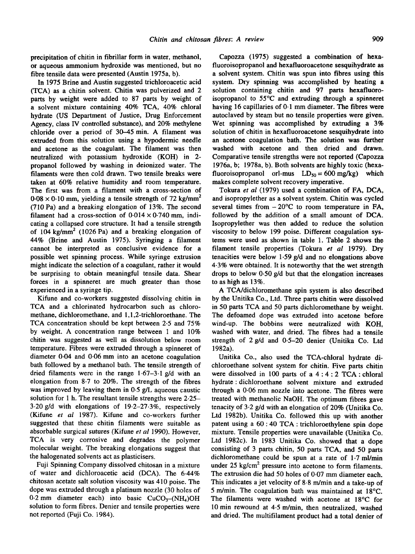precipitation of chitin in fibrillar form in water, methanol, or aqueous ammonium hydroxide was mentioned, but no fibre tensile data were presented (Austin 1975a, b).

In 1975 Brine and Austin suggested trichloroacetic acid (TCA) as a chitin solvent. Chitin was pulverized and 2 parts by weight were added to 87 parts by weight of a solvent mixture containing 40% TCA, 40% chloral hydrate (US Department of Justice, Drug Enforcement Agency, class IV controlled substance), and 20% methylene chloride over a period of  $30-45$  min. A filament was extruded from this solution using a hypodermic needle and acetone as the coagulant. The filament was then neutralized with potassium hydroxide (KOH) in 2 propanol followed by washing in deionized water. The filaments were then cold drawn. Two tensile breaks were taken at 60% relative humidity and room temperature. The first was from a filament with a cross-section of  $0.08 \times 0.10$  mm, yielding a tensile strength of 72 kg/mm<sup>2</sup> (710 Pa) and a breaking elongation of 13%. The second filament had a cross-section of  $0.014 \times 0.740$  mm, indicating a collapsed core structure. It had a tensile strength of 104 kg/mm<sup>2</sup> (1026 Pa) and a breaking elongation of 44% (Brine and Austin 1975). Syringing a filament cannot be interpreted as conclusive evidence for a possible wet spinning process. While syringe extrusion might indicate the selection of a coagulant, rather it would be surprising to obtain meaningful tensile data. Shear forces in a spinneret are much greater than those experienced in a syringe tip.

Kifune and co-workers suggested dissolving chitin in TCA and a chlorinated hydrocarbon such as chloromethane, dichloromethane, and 1,1,2-trichloroethane. The TCA concentration should be kept between 2.5 and 75% by weight. A concentration range between 1 and 10% chitin was suggested as well as dissolution below room temperature. Fibres were extruded through a spinneret of diameter 0.04 and 0.06 mm into an acetone coagulation bath followed by a methanol bath. The tensile strength of dried filaments were in the range 1.67-3.1 g/d with an elongation from 8-7 to 20%. The strength of the fibres was improved by leaving them in 0.5 g/L aqueous caustic solution for 1 h. The resultant tensile strengths were 2.25-3.20g/d with elongations of 19-2-27-3%, respectively (Kifune *et al* 1987). Kifune and co-workers further suggested that these chitin filaments were suitable as absorbable surgical sutures (Kifune *et al* 1990). However, TCA is very corrosive and degrades the polymer molecular weight. The breaking elongations suggest that the halogenated solvents act as plasticisers.

Fuji Spinning Company dissolved chitosan in a mixture of water and dichloroacetic acid (DCA). The 6.44% chitosan acetate salt solution viscosity was 410 poise. The dope was extruded through a platinum nozzle (30 holes of  $0.2$  mm diameter each) into basic  $CuCO<sub>3</sub>-(NH<sub>4</sub>)OH$ solution to form fibres. Denier and tensile properties were not reported (Fuji Co. 1984).

Capozza (1975) suggested a combination of hexafluoroisopropanol and hexafluoroacetone sesquihydrate as a solvent system. Chitin was spun into fibres using this system. Dry spinning was accomplished by heating a solution containing chitin and 97 parts hexafluoroisopropanol to 55°C and extruding through a spinneret having 16 capillaries of 0.1 mm diameter. The fibres were autoclaved by steam but no tensile properties were given. Wet spinning was accomplished by extruding a 3% solution of chitin in hexafluoroacetone sesquihydrate into an acetone coagulation bath. The solution was further washed with acetone and then dried and drawn. Comparative tensile strengths were not reported (Capozza 1976a, b; 1978a, b). Both solvents are highly toxic (hexafluoroisopropanol orl-mus  $LD_{50} = 600$  mg/kg) which makes complete solvent recovery imperative.

Tokura *et al* (1979) used a combination of FA, DCA, and isopropylether as a solvent system. Chitin was cycled several times from  $-20^{\circ}$ C to room temperature in FA, followed by the addition of a small amount of DCA. Isopropylether was then added to reduce the solution viscosity to below 199 poise. Different coagulation systems were used as shown in table 1. Table 2 shows **the**  filament tensile properties (Tokura *et al* 1979). Dry tenacities were below 1.59 g/d and no elongations above 4.3% were obtained. It is noteworthy that the wet strength drops to below 0.50 g/d but that the elongation increases to as high as 13%.

A TCA/dichloromethane spin system is also described by the Unitika Co., Ltd. Three parts chitin were dissolved in 50 parts TCA and 50 parts dichloromethane by weight. The defoamed dope was extruded into acetone before wind-up. The bobbins were neutralized with KOH, washed with water, and dried. The fibres had a tensile strength of 2 g/d and 0.5-20 denier (Unitika Co. Ltd 1982a).

Unitika Co., also used the TCA-chloral hydrate dichloroethane solvent system for chitin. Five parts chitin were dissolved in 100 parts of a 4 : 4 : 2 TCA : chloral hydrate:dichloroethane solvent mixture and extruded through a 0.06 mm nozzle into acetone. The fibres were treated with methanolic NaOH. The optimum fibres gave tenacity of 3.2 g/d with an elongation of 20% (Unitika Co. Ltd 1982b). Unitika Co. followed this up with another patent using a 60 : 40 TCA : trichloroethylene spin dope mixture. Tensile properties were unavailable (Unitika Co. Ltd 1982c). In 1983 Unitika Co. showed that a dope consisting of 3 parts chitin, 50 parts TCA, and 50 parts dichloromethane could be spun at a rate of 1.7 ml/min under  $25 \text{ kg/cm}^2$  pressure into acetone to form filaments. The extrusion die had 50 holes of 0.07 mm diameter each. This indicates a jet velocity of 8-8 m/min and a take-up of 5 m/min. The coagulation bath was maintained at 18°C. The filaments were washed with acetone at 18°C for 10 min rewound at 4.5 m/min, then neutralized, washed and dried. The multifilament product had a total denier of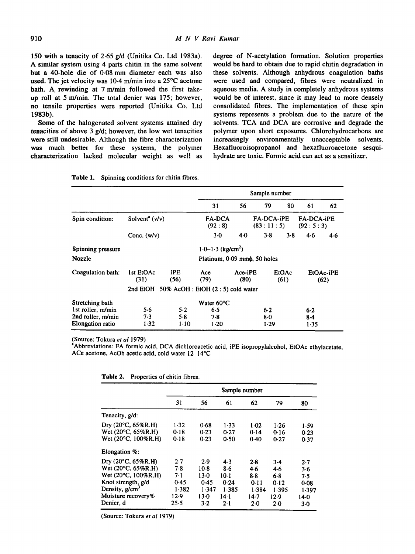150 with a tenacity of 2.65 g/d (Unitika Co. Ltd 1983a). A similar system using 4 parts chitin in the same solvent but a 40-hole die of 0.08 mm diameter each was also used. The jet velocity was 10.4 m/min into a 25°C acetone bath. A. rewinding at 7 m/min followed the first takeup roll at 5 m/min. The total denier was  $175$ ; however, no tensile properties were reported (Unitika Co. Ltd 1983b).

Some of the halogenated solvent systems attained dry tenacities of above 3 g/d; however, the low wet tenacities were still undesirable. Although the fibre characterization was much better for these systems, the polymer characterization lacked molecular weight as well as degree of N-acetylation formation. Solution properties would be hard to obtain due to rapid chitin degradation in these solvents. Although anhydrous coagulation baths were used and compared, fibres were neutralized in aqueous media. A study in completely anhydrous systems would be of interest, since it may lead to more densely consolidated fibres. The implementation of these spin systems represents a problem due to the nature of the solvents. TCA and DCA are corrosive and degrade the polymer upon short exposures. Chlorohydrocarbons are increasingly environmentally unacceptable solvents. Hexafluoroisopropanol and hexafluoroacetone sesquihydrate are toxic. Formic acid can act as a sensitizer.

|                         |                                     |             | Sample number                               |                 |       |                                |                   |                        |  |
|-------------------------|-------------------------------------|-------------|---------------------------------------------|-----------------|-------|--------------------------------|-------------------|------------------------|--|
|                         |                                     |             | 31                                          | 56              | 79    | 80                             | 61                | 62                     |  |
| Spin condition:         | Solvent <sup>a</sup> $(v/v)$        |             | <b>FA-DCA</b><br>(92:8)                     |                 |       | <b>FA-DCA-iPE</b><br>(83:11:5) |                   | FA-DCA-iPE<br>(92:5:3) |  |
|                         | Conc. $(w/v)$                       |             | $3-0$                                       | 4.0             | 3.8   | 3.8                            | 4.6               | 4.6                    |  |
| Spinning pressure       | $1.0 - 1.3$ (kg/cm <sup>2</sup> )   |             |                                             |                 |       |                                |                   |                        |  |
| <b>Nozzle</b>           | Platinum, 0.09 mm $\phi$ , 50 holes |             |                                             |                 |       |                                |                   |                        |  |
| Coagulation bath:       | 1st EtOAc<br>(31)                   | iPE<br>(56) | Ace<br>(79)                                 | Ace-iPE<br>(80) |       | EtOAc<br>(61)                  | EtOAc-iPE<br>(62) |                        |  |
|                         |                                     |             | 2nd EtOH 50% AcOH : EtOH (2 : 5) cold water |                 |       |                                |                   |                        |  |
| Stretching bath         |                                     |             | Water 60°C                                  |                 |       |                                |                   |                        |  |
| 1st roller, m/min       | 5.6                                 | 5.2         | 6.5                                         |                 | 6.2   |                                | 6.2               |                        |  |
| 2nd roller, m/min       | 7.3                                 | 5.8         | 7.8                                         |                 | $8-0$ |                                | $8-4$             |                        |  |
| <b>Elongation</b> ratio | 1.32                                | $1-10$      | 1.20                                        |                 | 1.29  |                                | 1.35              |                        |  |

| Table 1.<br>Spinning conditions for chitin fibres. |  |  |
|----------------------------------------------------|--|--|
|----------------------------------------------------|--|--|

(Source: Tokura *et al* 1979)

~Abbreviations: FA formic acid, DCA dichloroacetic acid, iPE isopropylalcohol, EtOAc ethylacetate, ACe acetone, AcOh acetic acid, cold water 12-14°C

|  | <b>Table 2.</b> Properties of chitin fibres. |  |  |  |
|--|----------------------------------------------|--|--|--|
|--|----------------------------------------------|--|--|--|

|                              | Sample number |        |        |       |        |        |  |
|------------------------------|---------------|--------|--------|-------|--------|--------|--|
|                              | 31            | 56     | 61     | 62    | 79     | 80     |  |
| Tenacity, g/d:               |               |        |        |       |        |        |  |
| Dry $(20^{\circ}C, 65\%R.H)$ | 1.32          | 0.68   | 1.33   | 1.02  | $1-26$ | 1.59   |  |
| Wet (20°C, 65%R.H)           | 0.18          | 0.23   | 0.27   | 0.14  | 0.16   | 0.23   |  |
| Wet (20°C, 100%R.H)          | 0.18          | 0.23   | 0.50   | 0.40  | 0.27   | 0.37   |  |
| Elongation %:                |               |        |        |       |        |        |  |
| Dry $(20^{\circ}C, 65\%R.H)$ | 2.7           | 2.9    | 4.3    | 2.8   | $3-4$  | 2.7    |  |
| Wet (20°C, 65%R.H)           | 7.8           | 10-8   | 8.6    | 4.6   | 4.6    | 3.6    |  |
| Wet (20°C, 100%R.H)          | 7.1           | 13.0   | 10-1   | 8.8   | 6.8    | 7.5    |  |
| Knot strength, g/d           | 0.45          | 0.45   | 0.24   | 0.11  | 0.12   | 0.08   |  |
| Density, $g/cm3$             | 1.382         | 1.347  | 1.385  | 1.384 | 1.395  | 1.397  |  |
| Moisture recovery%           | 12.9          | $13-0$ | 14 - 1 | 14.7  | 12.9   | $14-0$ |  |
| Denier, d                    | 25.5          | 3.2    | $2-1$  | 2.0   | $2-0$  | $3-0$  |  |

(Source: Tokura *et al* 1979)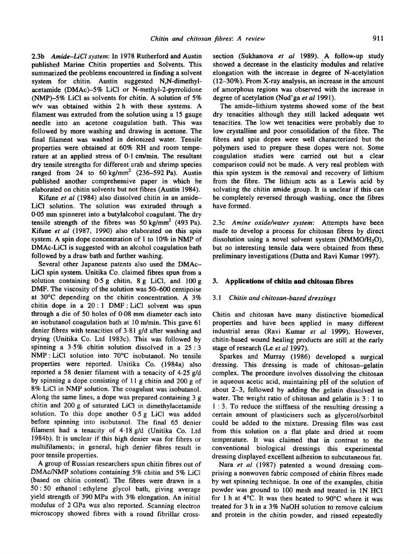2.3b *Amide-LiCl system:* In 1978 Rutherford and Austin published Marine Chitin properties and Solvents. This summarized the problems encountered in finding a solvent system for chitin. Austin suggested N,N-dimethylacetamide (DMAc)-5% LiCI or N-methyl-2-pyrrolidone (NMP)-5% LiCI as solvents for chitin. A solution of 5% w/v was obtained within 2 h with these systems. A filament was extruded from the solution using a 15 gauge needle into an acetone coagulation bath. This was followed by more washing and drawing in acetone. The final filament was washed in deionized water. Tensile properties were obtained at 60% RH and room temperature at an applied stress of 0-1 cm/min. The resultant dry tensile strengths for different crab and shrimp species ranged from 24 to  $60 \text{ kg/mm}^2$  (236–592 Pa). Austin published another comprehensive paper in which he elaborated on chitin solvents but not fibres (Austin 1984).

Kifune *et al* (I984) also dissolved chitin in an amide-LiCI solution. The solution was extruded through a 0.05 mm spinneret into a butylalcohol coagulant. The dry tensile strength of the fibres was  $50 \text{ kg/mm}^2$  (493 Pa). Kifune *et al* (1987, 1990) also elaborated on this spin system. A spin dope concentration of 1 to 10% in NMP of DMAc-LiCI is suggested with an alcohol coagulation bath followed by a draw bath and further washing.

Several other Japanese patents also used the DMAc-LiCI spin system. Unitika Co. claimed fibres spun from a solution containing 0.5 g chitin, 8 g LiCI, and 100 g DMF. The viscosity of the solution was 50-600 centipoise at 30°C depending on the chitin concentration. A 3% chitin dope in a  $20:1$  DMF: LiCl solvent was spun through a die of 50 holes of 0-08 mm diameter each into an isobutanol coagulation bath at 10 m/min. This gave 61 denier fibres with tenacities of 3.81 g/d after washing and drying (Unitika Co. Ltd 1983c). This was followed by spinning a 3-5% chitin solution dissolved in a 25:3 NMP:LiCI solution into 70°C isobutanol. No tensile properties were reported. Unitika Co. (1984a) also reported a 58 denier filament with a tenacity of 4.25 g/d by spinning a dope consisting of 11 g chitin and 200 g of 8% LiCI in NMP solution. The coagulant was isobutanol. Along the same lines, a dope was prepared containing 3 g chitin and 200 g of saturated LiCI in dimethylacetamide solution. To this dope another 0.5 g LiC1 was added before spinning into isobutanol. The final 65 denier filament had a tenacity of 4.18 g/d (Unitika Co. Ltd 1984b). It is unclear if this high denier was for fibres or multifilaments; in general, high denier fibres result in poor tensile properties.

A group of Russian researchers spun chitin fibres out of DMAc/NMP solutions containing 5% chitin and 5% LiCI (based on chitin content). The fibres were drawn in a 50 : 50 ethanol : ethylene glycol bath, giving average yield strength of 390 MPa with 3% elongation. An initial modulus of 2 GPa was also reported. Scanning electron microscopy showed fibres with a round fibrillar crosssection (Sukhanova *et al* 1989). A follow-up study showed a decrease in the elasticity modulus and relative elongation with the increase in degree of N-acetylation (12-30%). From X-ray analysis, an increase in the amount of amorphous regions was observed with the increase in degree of acetylation (Nud'ga *et al* 1991).

The amide-lithium systems showed some of the best dry tenacities although they still lacked adequate wet tenacities. The low wet tenacities were probably due to low crystalline and poor consolidation of the fibre. The fibres and spin dopes were well characterized but the polymers used to prepare these dopes were not. Some coagulation studies were carried out but a clear comparison could not be made. A very real problem with this spin system is the removal and recovery of lithium from the fibre. The lithium acts as a Lewis acid by solvating the chitin amide group. It is unclear if this can be completely reversed through washing, once the fibres have formed.

2.3c *Amine oxide/water system:* Attempts have been made to develop a process for chitosan fibres by direct dissolution using a novel solvent system (NMMO/ $H_2O$ ), but no interesting tensile data were obtained from these preliminary investigations (Dutta and Ravi Kumar 1997).

# **3. Applications of chitin and chitosan fibres**

#### *3.1 Chitin and chitosan-based dressings*

Chitin and chitosan have many distinctive biomedical properties and have been applied in many different industrial areas (Ravi Kumar *et al* 1999). However, chitin-based wound healing products are still at the early stage of research (Le et al 1997).

Sparkes and Murray (1986) developed a surgical dressing. This dressing is made of chitosan-gelatin complex. The procedure involves dissolving the chitosan in aqueous acetic acid, maintaining pH of the solution of about 2-3, followed by adding the gelatin dissolved in water. The weight ratio of chitosan and gelatin is  $3:1$  to **1 :** 3. To reduce the stiffness of the resulting dressing a certain amount of plasticisers such as glycerol/sorbitol could be added to the mixture. Dressing film was cast from this solution on a fiat plate and dried at room temperature. It was claimed that in contrast to the conventional biological dressings this experimental dressing displayed excellent adhesion to subcutaneous fat.

Nara *et al* (1987) patented a wound dressing comprising a nonwoven fabric composed of chitin fibres made by wet spinning technique. In one of the examples, chitin powder was ground to 100 mesh and treated in 1N HCI for 1 h at 4°C. It was then heated to 90°C where it was treated for 3 h in a 3% NaOH solution to remove calcium and protein in the chitin powder, and rinsed repeatedly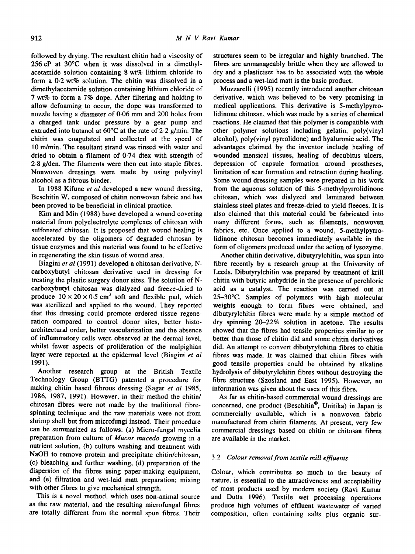followed by drying. The resultant chitin had a viscosity of 256 cP at 30°C when it was dissolved in a dimethylacetamide solution containing 8 wt% lithium chloride to form a 0.2 wt% solution. The chitin was dissolved in a dimethylacetamide solution containing lithium chloride of 7 wt% to form a 7% dope. After filtering and holding to allow defoaming to occur, the dope was transformed to nozzle having a diameter of 0-06 mm and 200 holes from a charged tank under pressure by a gear pump and extruded into butanol at 60°C at the rate of 2.2 g/min. The chitin was coagulated and collected at the speed of 10 m/min. The resultant strand was rinsed with water and dried to obtain a filament of 0.74 dtex with strength of 2.8 g/den. The filaments were then cut into staple fibres. Nonwoven dressings were made by using polyvinyl alcohol as a fibrous binder.

In 1988 Kifune *et al* developed a new wound dressing, Beschitin W, composed of chitin nonwoven fabric and has been proved to be beneficial in clinical practice.

Kim and Min (1988) have developed a wound covering material from polyelectrolyte complexes of chitosan with sulfonated chitosan. It is proposed that wound healing is accelerated by the oligomers of degraded chitosan by tissue enzymes and this material was found to be effective in regenerating the skin tissue of wound area.

Biagini *et al* (1991) developed a chitosan derivative, Ncarboxybutyl chitosan derivative used in dressing for treating the plastic surgery donor sites. The solution of Ncarboxybutyl chitosan was dialyzed and freeze-dried to produce  $10 \times 20 \times 0.5$  cm<sup>3</sup> soft and flexible pad, which was sterilized and applied to the wound. They reported that this dressing could promote ordered tissue regeneration compared to control donor sites, better histoarchitectural order, better vascularization and the absence of inflammatory cells were observed at the dermal level, whilst fewer aspects of proliferation of the malpighian layer were reported at the epidermal level (Biagini *et al*  1991).

Another research group at the British Textile Technology Group (BTTG) patented a procedure for making chitin based fibrous dressing (Sagar *et al* 1985, 1986, 1987, 1991). However, in their method the chitin/ chitosan fibres were not made by the traditional fibrespinning technique and the raw materials were not from shrimp shell but from microfungi instead. Their procedure can be summarized as follows: (a) Micro-fungal mycelia preparation from culture of *Mucor mucedo* growing in a nutrient solution, (b) culture washing and treatment with NaOH to remove protein and precipitate chitin/chitosan, (c) bleaching and further washing, (d) preparation of the dispersion of the fibres using paper-making equipment, and (e) filtration and wet-laid matt preparation; mixing with other fibres to give mechanical strength.

This is a novel method, which uses non-animal source as the raw material, and the resulting microfungal fibres are totally different from the normal spun fibres. Their

structures seem to be irregular and highly branched. The fibres are unmanageably brittle when they are allowed to dry and a plasticiser has to be associated with the whole process and a wet-laid matt is the basic product.

Muzzarelli (1995) recently introduced another chitosan derivative, which was believed to be very promising in medical applications. This derivative is 5-methylpyrrolidinone chitosan, which was made by a series of chemical reactions. He claimed that this polymer is compatible with other polymer solutions including gelatin, poly(vinyl alcohol), poly(vinyl pyrrolidone) and hyaluronic acid. The advantages claimed by the inventor include healing of wounded mensicai tissues, healing of decubitus ulcers, depression of capsule formation around prostheses, limitation of scar formation and retraction during healing. Some wound dressing samples were prepared in his work from the aqueous solution of this 5-methylpyrrolidinone chitosan, which was dialyzed and laminated between stainless steel plates and freeze-dried to yield fleeces. It is also claimed that this material could be fabricated into many different forms, such as filaments, nonwoven fabrics, etc. Once applied to a wound, 5-methylpyrrolidinone chitosan becomes immediately available in the form of oligomers produced under the action of lysozyme.

Another chitin derivative, dibutyrylchitin, was spun into fibre recently by a research group at the University of Leeds. Dibutyrylchitin was prepared by treatment of krill chitin with butyric anhydride in the presence of perchloric acid as a catalyst. The reaction was carried out at 25-30°C. Samples of polymers with high molecular weights enough to form fibres were obtained, and dibutyrylchitin fibres were made by a simple method of dry spinning 20-22% solution in acetone. The results showed that the fibres had tensile properties similar to or better than those of chitin did and some chitin derivatives did. An attempt to convert dibutyrylchitin fibres to chitin fibres was made. It was claimed that chitin fibres with good tensile properties could be obtained by alkaline hydrolysis of dibutyrylchitin fibres without destroying the fibre structure (Szosland and East 1995). However, no information was given about the uses of this fibre.

As far as chitin-based commercial wound dressings are concerned, one product (Beschitin®, Unitika) in Japan is commercially available, which is a nonwoven fabric manufactured from chitin filaments. At present, very few commercial dressings based on chitin or chitosan fibres are available in the market.

#### 3.2 *Colour removal from textile mill effluents*

Colour, which contributes so much to the beauty of nature, is essential to the attractiveness and acceptability of most products used by modern society (Ravi Kumar and Dutta 1996). Textile wet processing operations produce high volumes of effluent wastewater of varied composition, often containing salts plus organic sur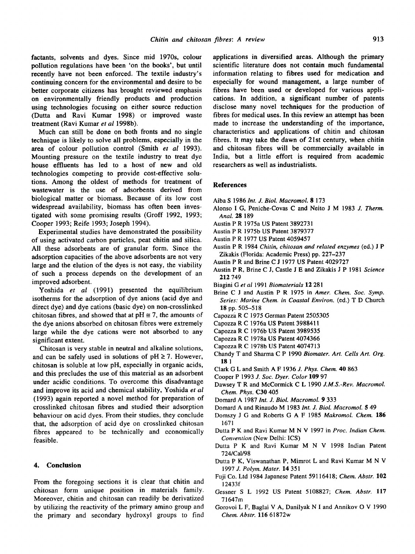factants, solvents and dyes. Since mid 1970s, colour pollution regulations have been 'on the books', but until recently have not been enforced. The textile industry's continuing concern for the environmental and desire to be better corporate citizens has brought reviewed emphasis on environmentally friendly products and production using technologies focusing on either source reduction (Dutta and Ravi Kumar 1998) or improved waste treatment (Ravi Kumar *et al* 1998b).

Much can still be done on both fronts and no single technique is likely to solve all problems, especially in the area of colour pollution control (Smith *et al* 1993). Mounting pressure on the textile industry to treat dye house effluents has led to a host of new and old technologies competing to provide cost-effective solutions. Among the oldest of methods for treatment of wastewater is the use of adsorbents derived from biological matter or biomass. Because of its low cost widespread availability, biomass has often been investigated with some promising results (Groff 1992, 1993; Cooper 1993; Reife 1993; Joseph 1994).

Experimental studies have demonstrated the possibility of using activated carbon particles, peat chitin and silica. All these adsorbents are of granular form. Since the adsorption capacities of the above adsorbents are not very large and the elution of the dyes is not easy, the viability of such a process depends on the development of an improved adsorbent.

Yoshida *et al* (1991) presented the equilibrium isotherms for the adsorption of dye anions (acid dye and direct dye) and dye cations (basic dye) on non-crosslinked chitosan fibres, and showed that at  $pH \equiv 7$ , the amounts of the dye anions absorbed on chitosan fibres were extremely large while the dye cations were not absorbed to any significant extent.

Chitosan is very stable in neutral and alkaline solutions, and can be safely used in solutions of  $pH \ge 7$ . However, chitosan is soluble at low pH, especially in organic acids, and this precludes the use of this material as an adsorbent under acidic conditions. To overcome this disadvantage and improve its acid and chemical stability, Yoshida *et al*  (1993) again reported a novel method for preparation of crosslinked chitosan fibres and studied their adsorption behaviour on acid dyes. From their studies, they conclude that, the adsorption of acid dye on crosslinked chitosan fibres appeared to be technically and economically feasible.

## **4. Conclusion**

From the foregoing sections it is clear that chitin and chitosan form unique position in materials family. Moreover, chitin and chitosan can readily be derivatized by utilizing the reactivity of the primary amino group and the primary and secondary hydroxyl groups to find

applications in diversified areas. Although the primary scientific literature does not contain much fundamental information relating to fibres used for medication and especially for wound management, a large number of fibres have been used or developed for various applications. In addition, a significant number of patents disclose many novel techniques for the production of fibres for medical uses. In this review an attempt has been made to increase the understanding of the importance, characteristics and applications of chitin and chitosan fibres. It may take the dawn of 21st century, when chitin and chitosan fibres will be commercially available in India, but a little effort is required from academic researchers as well as industrialists.

#### **References**

- Aiba S 1986 *Int. J. Biol. Macromol.* 8 173
- Alonso I G, Peniche-Covas C and Neito J M 1983 J. *Therm. Anal.* 28 189
- Austin P R 1975a US Patent 3892731
- Austin P R 1975b US Patent 3879377
- Austin P R 1977 US Patent 4059457
- Austin P R 1984 *Chitin, chitosan and related enzymes* (ed.) J P Zikakis (Florida: Academic Press) pp. 227-237
- Austin P R and Brine C J 1977 US Patent 4029727
- Austin P R, Brine C J, Castle J E and Zikakis J P 1981 *Science*  212 749
- Biagini Get *al* 1991 *Biomaterials* 12 281
- Brine C J and Austin P R 1975 in *Amer. Chem. Soc. Symp. Series: Marine Chem. in Coastal Environ.* (ed.) T D Church 18 pp. 505-518
- Capozza R C 1975 German Patent 2505305
- Capozza R C 1976a US Patent 3988411
- Capozza R C 1976b US Patent 3989535
- Capozza R C 1978a US Patent 4074366
- Capozza R C 1978b US Patent 4074713
- Chandy T and Sharma C P 1990 *Biomater. Art. Cells Art. Org.*  **18 1**
- Clark G L and Smith A F 1936 *J. Phys. Chem.* 40 863
- Cooper P 1993 *J. Soc. Dyer. Color* 109 97
- Dawsey T R and McCormick C L 1990 *J.M.S.-Rev. Macromol. Chem. Phys.* C30 405
- Domard A 1987 *Int. J. Biol. Macromol.* 9 333
- Domard A and Rinaudo M 1983 *Int. J. Biol. Macromol.* 5 49
- Domszy J G and Roberts G A F 1985 *Makromol. Chem.* 186 1671
- Dutta P K and Ravi Kumar M N V 1997 in *Proc. Indian Chem. Convention* (New Delhi: ICS)
- Dutta P K and Ravi Kumar M N V 1998 Indian Patent 724/Cal/98
- Dutta P K, Viswanathan P, Mimrot L and Ravi Kumar M N V 1997 Z *Polym. Mater* 14 351
- Fuji Co. Ltd 1984 Japanese Patent 59116418; *Chem. Abstr.* 102 12433f
- Gessner S L 1992 US Patent 5108827; *Chem. Abstr.* 117 71647 m
- Gorovoi L F, Baglai V A, Danilyak N I and Annikov O V 1990 *Chem. Abstr.* 116 61872w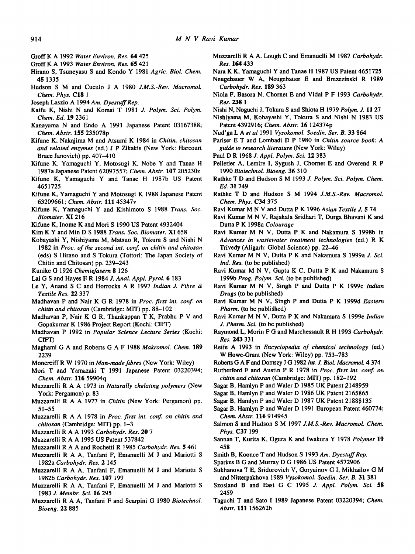- GroffK A 1992 *Water Environ. Res. 64* 425
- GroffK A 1993 *Water Environ. Res.* 65 421
- Hirano S, Tsuneyasu S and Kondo Y 1981 *Agric. Biol. Chem.*  **45** 1335
- Hudson S M and Cuculo J A 1980 *J.M.S.-Rev. Macromol. Chem. Phys.* C18 1
- Joseph Laszio A 1994 Am. Dyestuff Rep.
- Kaifu K, Nishi N and Komai T 1981 J. *Polym. Sci. Polym. Chem. Ed.* 19 2361
- Kanayama N and Endo A 1991 Japanese Patent 03167388; *Chem. Abstr.* 155 235078p
- Kifune K, Nakajima M and Atsumi K 1984 in *Chitin, chitosan and related enzymes* (ed.) J P Zikakis (New York: Harcourt Brace Janovich) pp. 407-410
- Kifune K, Yamaguchi Y, Motosugi K, Nobe Y and Tanae H 1987a Japanese Patent 62097557; *Chem. Abstr.* **107** 205230z
- Kifune K, Yamaguchi Y and Tanae H 1987b US Patent 4651725
- Kifune K, Yamaguchi Y and Motosugi K 1988 Japanese Patent 63209661; *Chem. Abstr.* Ul 45347v
- Kifune K, Yamaguchi Y and Kishimoto S 1988 *Trans. Soc. Biomater.* XI 216
- Kifune K, Inome K and Mori S 1990 US Patent 4932404
- Kim K Y and Min D S 1988 *Trans. Soc. Biomater.* XI 658
- Kobayashi Y, Nishiyama M, Matsuo R, Tokura S and Nishi N 1982 in *Proc. of the second int. conf. on chitin and chitosan*  (eds) S Hirano and S Tokura (Tottori: The Japan Society of Chitin and Chitosan) pp. 239-243
- Kunike G 1926 *Chemiefasern* 8 126
- Lal G S and Hayes E R 1984 J. *Anal. Appl. Pyrol.* 6 183
- Le Y, Anand S C and Horrocks A R 1997 *Indian J. Fibre & Textile Res.* 22 337
- Madhavan P and Nair K G R 1978 in *Proc. first int. conf. on chitin and chitosan* (Cambridge: MIT) pp. 88-102
- Madhavan P, Nair K G R, Thankappan T K, Prabhu P V and Gopakumar K 1986 Project Report (Kochi: CIFT)
- Madhavan P 1992 in *Popular Science Lecture Series* (Kochi: ctFr)
- Maghami G A and Roberts G A F 1988 *Makromol. Chem.* 189 2239
- Moncreiff R W 1970 in *Man-made fibres* (New York: Wiley)
- Mori T and Yamazaki T 1991 Japanese Patent 03220394; *Chem. Abstr.* 116 59904q
- Muzzarelli R A A 1973 in *Naturally chelating polymers* (New York: Pergamon) p. 83
- Muzzarelli R A A 1977 in *Chitin* (New York: Pergamon) pp. 51-55
- Muzzarelli R A A 1978 in *Proc. first int. conf. on chitin and chitosan* (Cambridge: MIT) pp. 1-3
- Muzzarelli R A A 1993 *Carbohydr. Res.* 20 7
- Muzzarelli R A A 1995 US Patent 537842
- Muzzarelli R A A and Rochetti R 1985 *Carbohydr. Res.* 5 461
- Muzzarelli R A A, Tanfani F, Emanuelli M J and Mariotti S 1982a *Carbohydr. Res.* 2 145
- Muzzarelli R A A, Tanfani F, Emanuelli M J and Mariotti S 1982b *Carbohydr. Res.* 107 199
- Muzzarelli R A A, Tanfani F, Emanuelli M J and Mariotti S 1983 *J. Membr. Sci.* 16 295
- Muzzarelli R A A, Tanfani F and Scarpini G 1980 *Biotechnol. Bioeng. 22* 885
- Muzzarelli R A A, Lough C and Emanuelli M 1987 *Carbohydr. Res.* 164 433
- Nara K K, Yamaguchi Y and Tanae H 1987 US Patent 4651725
- Neugebauer W A, Neugebauer E and Brezczinski R 1989 *Carbohydr. Res.* 189 363
- Niola F, Basora N, Chornet E and Vidal P F 1993 *Carbohydr. Res. 238 1*
- Nishi N, Noguchi J, Tokura S and Shiota H 1979 *Polym. J.* 11 27
- Nishiyama M, Kobayashi Y, Tokura S and Nishi N 1983 US Patent 4392916; *Chem. Abstr.* 16 124374p
- Nud'ga L A *etal* 1991 *Vysokomol. Soedin. Set. B.* 33 864
- Pariser E T and Lombadi D P 1980 in *Chitin source book: A guide to research literature* (New York: Wiley)
- Paul D R 1968 *Z Appl. Polym. Sci.* 12 383
- Pelletier A, Lemire I, Sygush J, Chornet E and Overend R P 1990 *Biotechnol. Bioeng.* 36 310
- Rathke T D and Hudson S M 1993 *J. Polym. Sci. Polym. Chem. Ed.* 31 749
- Rathke T D and Hudson S M 1994 *J.M.S.-Rev. Macromol. Chem. Phys.* C34 375
- Ravi Kumar M N V and Dutta P K 1996 *Asian Textile* J. 5 74
- Ravi Kumar M N V, Rajakala Sridhari T, Durga Bhavani K and Dutta P K 1998a *Colourage*
- Ravi Kumar M N V, Dutta P K and Nakamura S 1998b in *Advances in wastewater treatment technologies* (ed.) R K Trivedy (Aligarh: Global Science) pp. 22-46
- Ravi Kumar M N V, Dutta P K and Nakamura S 1999a *J. Sci. Ind. Res.* (to be published)
- Ravi Kumar M N V, Gupta K C, Dutta P K and Nakamura S 1999b *Prog. Polym. Sci.* (to be published)
- Ravi Kumar M N V, Singh P and Dutta P K 1999c *Indian Drugs* (to be published)
- Ravi Kumar M N V, Singh P and Dutta P K 1999d *Eastern*  Pharm. (to be published)
- Ravi Kumar M N V, Dutta P K and Nakamura S 1999e *Indian J. Pharm. Sci.* (to be published)
- Raymond L, Morin F G and Marchessault R H 1993 *Carbohydr. Res.* 243 331
- Reife A 1993 in *Encyclopedia of chemical technology* (ed.) W Howe-Grant (New York: Wiley) pp. 753-783
- Roberts G A F and Domszy J G 1982 *Int. J. Biol. Macromol.* 4 374
- Rutherford F and Austin P R 1978 in *Proc. first int. conf. on chitin and chitosan* (Cambridge: MIT) pp. 182-192
- Sagar B, Hamlyn P and Waler D 1985 UK Patent 2148959
- Sagar B, Hamlyn P and Waler D 1986 UK Patent 2165865
- Sagar B, Hamlyn P and Waler D 1987 UK Patent 21888135
- Sagar B, Hamlyn P and Waler D 1991 European Patent 460774; *Chem. Abstr.* 116 914945
- Salmon S and Hudson S M 1997 *J.M.S.-Rev. Macromol. Chem. Phys.* C37 199
- Sannan T, Kurita K, Ogura K and Iwakura Y 1978 *Polymer* 19 458
- Smith B, Koonce T and Hudson S 1993 Am. Dyestuff Rep.
- Sparkes B G and Murray D G 1986 US Patent 4572906
- Sukhanova T E, Sridorovich V, Goryainov G I, Mikhailov G M and Nittcrpakhova 1989 *Vysokomol. Soedin. Ser. B.* 31 381
- Szosland B and East G C 1995 J. *Appl. Polym. Sci.* **58**  2459
- Taguchi T and Sato I 1989 Japanese Patent 03220394; *Chem. Abstr.* lU 156262h